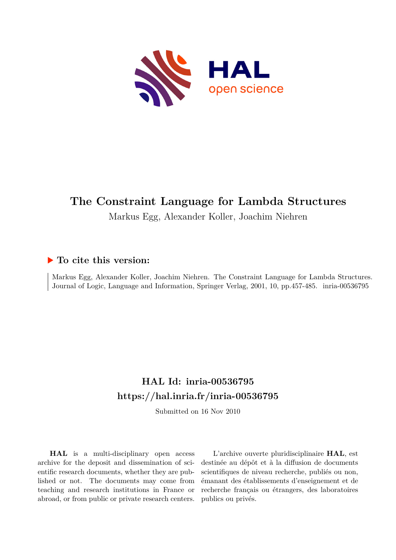

# **The Constraint Language for Lambda Structures**

Markus Egg, Alexander Koller, Joachim Niehren

### **To cite this version:**

Markus Egg, Alexander Koller, Joachim Niehren. The Constraint Language for Lambda Structures. Journal of Logic, Language and Information, Springer Verlag, 2001, 10, pp.457-485. inria-00536795

# **HAL Id: inria-00536795 <https://hal.inria.fr/inria-00536795>**

Submitted on 16 Nov 2010

**HAL** is a multi-disciplinary open access archive for the deposit and dissemination of scientific research documents, whether they are published or not. The documents may come from teaching and research institutions in France or abroad, or from public or private research centers.

L'archive ouverte pluridisciplinaire **HAL**, est destinée au dépôt et à la diffusion de documents scientifiques de niveau recherche, publiés ou non, émanant des établissements d'enseignement et de recherche français ou étrangers, des laboratoires publics ou privés.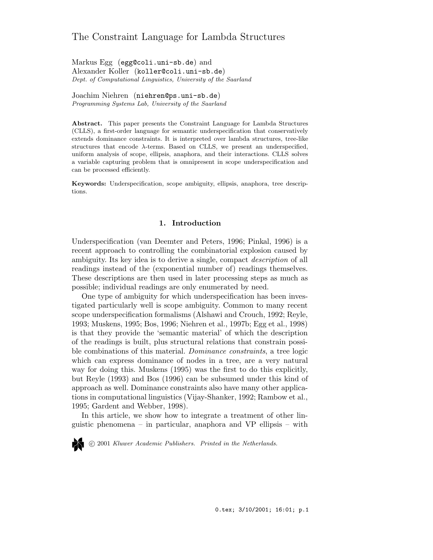### The Constraint Language for Lambda Structures

Markus Egg (egg@coli.uni-sb.de) and Alexander Koller (koller@coli.uni-sb.de) Dept. of Computational Linguistics, University of the Saarland

Joachim Niehren (niehren@ps.uni-sb.de) Programming Systems Lab, University of the Saarland

Abstract. This paper presents the Constraint Language for Lambda Structures (CLLS), a first-order language for semantic underspecification that conservatively extends dominance constraints. It is interpreted over lambda structures, tree-like structures that encode  $\lambda$ -terms. Based on CLLS, we present an underspecified, uniform analysis of scope, ellipsis, anaphora, and their interactions. CLLS solves a variable capturing problem that is omnipresent in scope underspecification and can be processed efficiently.

Keywords: Underspecification, scope ambiguity, ellipsis, anaphora, tree descriptions.

#### 1. Introduction

Underspecification (van Deemter and Peters, 1996; Pinkal, 1996) is a recent approach to controlling the combinatorial explosion caused by ambiguity. Its key idea is to derive a single, compact description of all readings instead of the (exponential number of) readings themselves. These descriptions are then used in later processing steps as much as possible; individual readings are only enumerated by need.

One type of ambiguity for which underspecification has been investigated particularly well is scope ambiguity. Common to many recent scope underspecification formalisms (Alshawi and Crouch, 1992; Reyle, 1993; Muskens, 1995; Bos, 1996; Niehren et al., 1997b; Egg et al., 1998) is that they provide the 'semantic material' of which the description of the readings is built, plus structural relations that constrain possible combinations of this material. Dominance constraints, a tree logic which can express dominance of nodes in a tree, are a very natural way for doing this. Muskens (1995) was the first to do this explicitly, but Reyle (1993) and Bos (1996) can be subsumed under this kind of approach as well. Dominance constraints also have many other applications in computational linguistics (Vijay-Shanker, 1992; Rambow et al., 1995; Gardent and Webber, 1998).

In this article, we show how to integrate a treatment of other linguistic phenomena – in particular, anaphora and VP ellipsis – with

**C** 2001 Kluwer Academic Publishers. Printed in the Netherlands.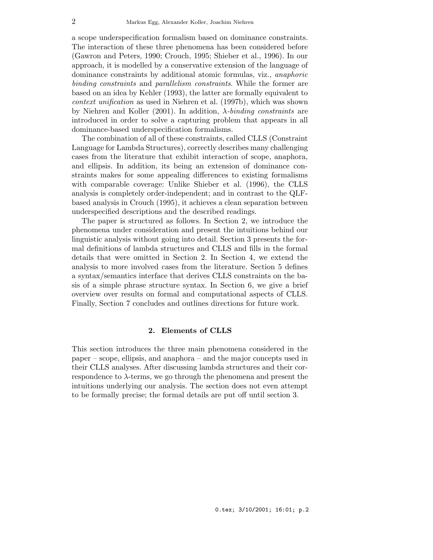a scope underspecification formalism based on dominance constraints. The interaction of these three phenomena has been considered before (Gawron and Peters, 1990; Crouch, 1995; Shieber et al., 1996). In our approach, it is modelled by a conservative extension of the language of dominance constraints by additional atomic formulas, viz., anaphoric binding constraints and parallelism constraints. While the former are based on an idea by Kehler (1993), the latter are formally equivalent to context unification as used in Niehren et al. (1997b), which was shown by Niehren and Koller (2001). In addition,  $\lambda$ -binding constraints are introduced in order to solve a capturing problem that appears in all dominance-based underspecification formalisms.

The combination of all of these constraints, called CLLS (Constraint Language for Lambda Structures), correctly describes many challenging cases from the literature that exhibit interaction of scope, anaphora, and ellipsis. In addition, its being an extension of dominance constraints makes for some appealing differences to existing formalisms with comparable coverage: Unlike Shieber et al. (1996), the CLLS analysis is completely order-independent; and in contrast to the QLFbased analysis in Crouch (1995), it achieves a clean separation between underspecified descriptions and the described readings.

The paper is structured as follows. In Section 2, we introduce the phenomena under consideration and present the intuitions behind our linguistic analysis without going into detail. Section 3 presents the formal definitions of lambda structures and CLLS and fills in the formal details that were omitted in Section 2. In Section 4, we extend the analysis to more involved cases from the literature. Section 5 defines a syntax/semantics interface that derives CLLS constraints on the basis of a simple phrase structure syntax. In Section 6, we give a brief overview over results on formal and computational aspects of CLLS. Finally, Section 7 concludes and outlines directions for future work.

#### 2. Elements of CLLS

This section introduces the three main phenomena considered in the paper – scope, ellipsis, and anaphora – and the major concepts used in their CLLS analyses. After discussing lambda structures and their correspondence to  $\lambda$ -terms, we go through the phenomena and present the intuitions underlying our analysis. The section does not even attempt to be formally precise; the formal details are put off until section 3.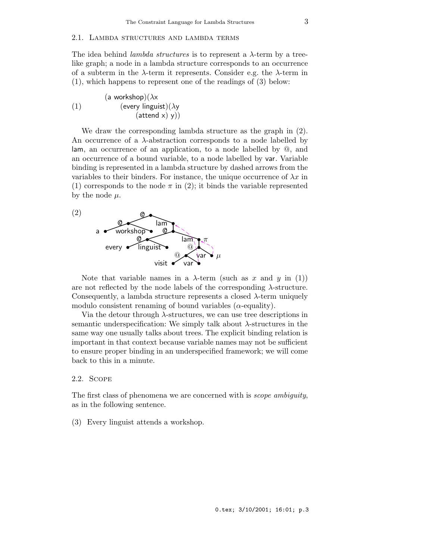#### 2.1. Lambda structures and lambda terms

The idea behind *lambda structures* is to represent a  $\lambda$ -term by a treelike graph; a node in a lambda structure corresponds to an occurrence of a subterm in the  $\lambda$ -term it represents. Consider e.g. the  $\lambda$ -term in (1), which happens to represent one of the readings of (3) below:

(1) (a workshop) $(\lambda x)$ (every linguist) $(\lambda y)$  $(\text{attend } x)$  y))

We draw the corresponding lambda structure as the graph in (2). An occurrence of a  $\lambda$ -abstraction corresponds to a node labelled by lam, an occurrence of an application, to a node labelled by @, and an occurrence of a bound variable, to a node labelled by var. Variable binding is represented in a lambda structure by dashed arrows from the variables to their binders. For instance, the unique occurrence of  $\lambda x$  in (1) corresponds to the node  $\pi$  in (2); it binds the variable represented by the node  $\mu$ .



Note that variable names in a  $\lambda$ -term (such as x and y in (1)) are not reflected by the node labels of the corresponding  $\lambda$ -structure. Consequently, a lambda structure represents a closed  $\lambda$ -term uniquely modulo consistent renaming of bound variables ( $\alpha$ -equality).

Via the detour through  $\lambda$ -structures, we can use tree descriptions in semantic underspecification: We simply talk about  $\lambda$ -structures in the same way one usually talks about trees. The explicit binding relation is important in that context because variable names may not be sufficient to ensure proper binding in an underspecified framework; we will come back to this in a minute.

#### 2.2. Scope

The first class of phenomena we are concerned with is scope ambiguity, as in the following sentence.

(3) Every linguist attends a workshop.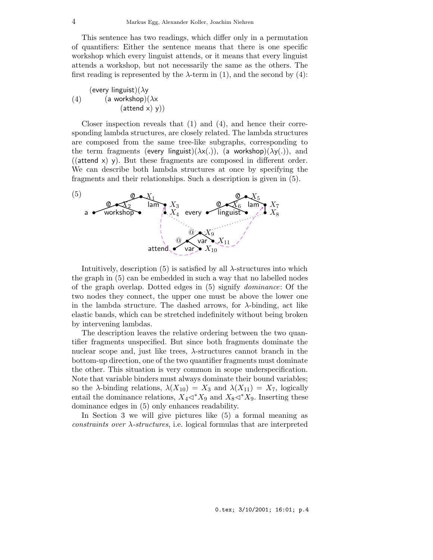This sentence has two readings, which differ only in a permutation of quantifiers: Either the sentence means that there is one specific workshop which every linguist attends, or it means that every linguist attends a workshop, but not necessarily the same as the others. The first reading is represented by the  $\lambda$ -term in (1), and the second by (4):

(4) (every linguist) $(\lambda y)$ (a workshop) $(\lambda x)$  $(\text{attend } x)$  y))

Closer inspection reveals that (1) and (4), and hence their corresponding lambda structures, are closely related. The lambda structures are composed from the same tree-like subgraphs, corresponding to the term fragments (every linguist)( $\lambda$ x(.)), (a workshop)( $\lambda$ y(.)), and ((attend x)  $y$ ). But these fragments are composed in different order. We can describe both lambda structures at once by specifying the fragments and their relationships. Such a description is given in (5).



Intuitively, description  $(5)$  is satisfied by all  $\lambda$ -structures into which the graph in (5) can be embedded in such a way that no labelled nodes of the graph overlap. Dotted edges in (5) signify dominance: Of the two nodes they connect, the upper one must be above the lower one in the lambda structure. The dashed arrows, for  $\lambda$ -binding, act like elastic bands, which can be stretched indefinitely without being broken by intervening lambdas.

The description leaves the relative ordering between the two quantifier fragments unspecified. But since both fragments dominate the nuclear scope and, just like trees,  $\lambda$ -structures cannot branch in the bottom-up direction, one of the two quantifier fragments must dominate the other. This situation is very common in scope underspecification. Note that variable binders must always dominate their bound variables; so the  $\lambda$ -binding relations,  $\lambda(X_{10}) = X_3$  and  $\lambda(X_{11}) = X_7$ , logically entail the dominance relations,  $X_4\triangleleft X_9$  and  $X_8\triangleleft X_9$ . Inserting these dominance edges in (5) only enhances readability.

In Section 3 we will give pictures like (5) a formal meaning as constraints over  $\lambda$ -structures, i.e. logical formulas that are interpreted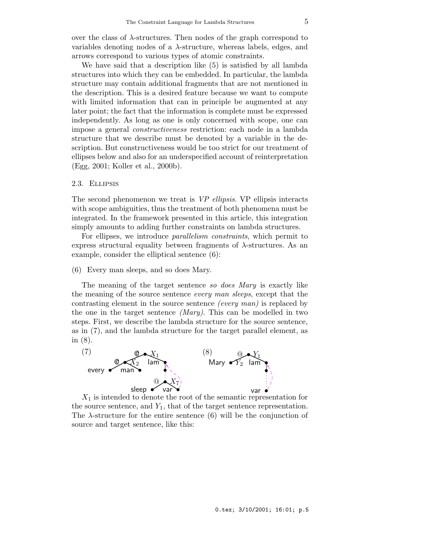over the class of  $\lambda$ -structures. Then nodes of the graph correspond to variables denoting nodes of a  $\lambda$ -structure, whereas labels, edges, and arrows correspond to various types of atomic constraints.

We have said that a description like (5) is satisfied by all lambda structures into which they can be embedded. In particular, the lambda structure may contain additional fragments that are not mentioned in the description. This is a desired feature because we want to compute with limited information that can in principle be augmented at any later point; the fact that the information is complete must be expressed independently. As long as one is only concerned with scope, one can impose a general constructiveness restriction: each node in a lambda structure that we describe must be denoted by a variable in the description. But constructiveness would be too strict for our treatment of ellipses below and also for an underspecified account of reinterpretation (Egg, 2001; Koller et al., 2000b).

#### 2.3. Ellipsis

The second phenomenon we treat is VP ellipsis. VP ellipsis interacts with scope ambiguities, thus the treatment of both phenomena must be integrated. In the framework presented in this article, this integration simply amounts to adding further constraints on lambda structures.

For ellipses, we introduce parallelism constraints, which permit to express structural equality between fragments of  $\lambda$ -structures. As an example, consider the elliptical sentence (6):

#### (6) Every man sleeps, and so does Mary.

The meaning of the target sentence so does Mary is exactly like the meaning of the source sentence every man sleeps, except that the contrasting element in the source sentence (every man) is replaced by the one in the target sentence (Mary). This can be modelled in two steps. First, we describe the lambda structure for the source sentence, as in (7), and the lambda structure for the target parallel element, as in (8).



 $X_1$  is intended to denote the root of the semantic representation for the source sentence, and  $Y_1$ , that of the target sentence representation. The  $\lambda$ -structure for the entire sentence (6) will be the conjunction of source and target sentence, like this: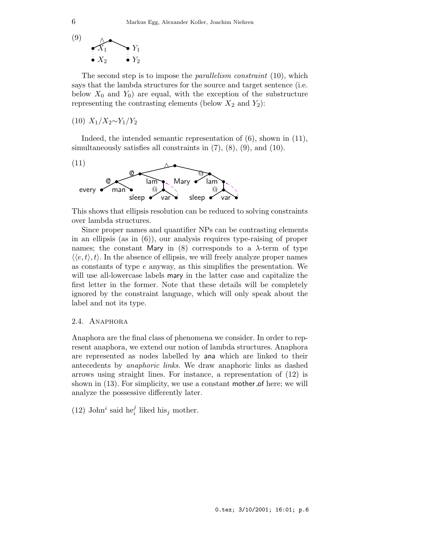$$
\begin{array}{c}\n(9) \\
\longleftarrow & X_1 \\
\vdots & \vdots \\
\longleftarrow & Y_2\n\end{array}
$$

The second step is to impose the *parallelism constraint* (10), which says that the lambda structures for the source and target sentence (i.e. below  $X_0$  and  $Y_0$ ) are equal, with the exception of the substructure representing the contrasting elements (below  $X_2$  and  $Y_2$ ):

 $(10) X_1/X_2 \sim Y_1/Y_2$ 

Indeed, the intended semantic representation of (6), shown in (11), simultaneously satisfies all constraints in  $(7)$ ,  $(8)$ ,  $(9)$ , and  $(10)$ .



This shows that ellipsis resolution can be reduced to solving constraints over lambda structures.

Since proper names and quantifier NPs can be contrasting elements in an ellipsis (as in (6)), our analysis requires type-raising of proper names; the constant Mary in (8) corresponds to a  $\lambda$ -term of type  $\langle\langle e,t\rangle,t\rangle$ . In the absence of ellipsis, we will freely analyze proper names as constants of type e anyway, as this simplifies the presentation. We will use all-lowercase labels mary in the latter case and capitalize the first letter in the former. Note that these details will be completely ignored by the constraint language, which will only speak about the label and not its type.

#### 2.4. Anaphora

Anaphora are the final class of phenomena we consider. In order to represent anaphora, we extend our notion of lambda structures. Anaphora are represented as nodes labelled by ana which are linked to their antecedents by anaphoric links. We draw anaphoric links as dashed arrows using straight lines. For instance, a representation of (12) is shown in (13). For simplicity, we use a constant mother of here; we will analyze the possessive differently later.

(12) John<sup>*i*</sup> said he<sup>*j*</sup> liked his<sub>j</sub> mother.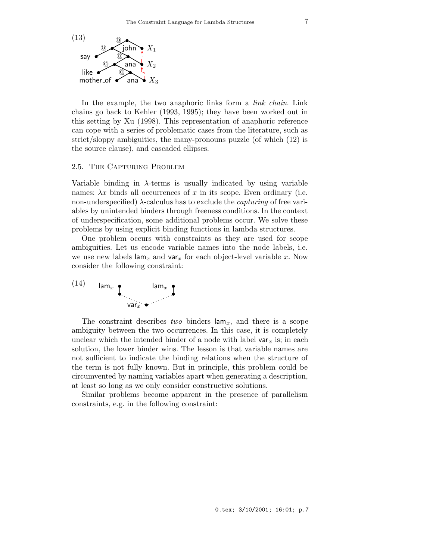

In the example, the two anaphoric links form a *link chain*. Link chains go back to Kehler (1993, 1995); they have been worked out in this setting by Xu (1998). This representation of anaphoric reference can cope with a series of problematic cases from the literature, such as strict/sloppy ambiguities, the many-pronouns puzzle (of which (12) is the source clause), and cascaded ellipses.

#### 2.5. The Capturing Problem

Variable binding in  $\lambda$ -terms is usually indicated by using variable names:  $\lambda x$  binds all occurrences of x in its scope. Even ordinary (i.e. non-underspecified)  $\lambda$ -calculus has to exclude the *capturing* of free variables by unintended binders through freeness conditions. In the context of underspecification, some additional problems occur. We solve these problems by using explicit binding functions in lambda structures.

One problem occurs with constraints as they are used for scope ambiguities. Let us encode variable names into the node labels, i.e. we use new labels  $\mathsf{lam}_x$  and  $\mathsf{var}_x$  for each object-level variable x. Now consider the following constraint:



The constraint describes two binders  $\mathsf{lam}_x$ , and there is a scope ambiguity between the two occurrences. In this case, it is completely unclear which the intended binder of a node with label var<sub>x</sub> is; in each solution, the lower binder wins. The lesson is that variable names are not sufficient to indicate the binding relations when the structure of the term is not fully known. But in principle, this problem could be circumvented by naming variables apart when generating a description, at least so long as we only consider constructive solutions.

Similar problems become apparent in the presence of parallelism constraints, e.g. in the following constraint: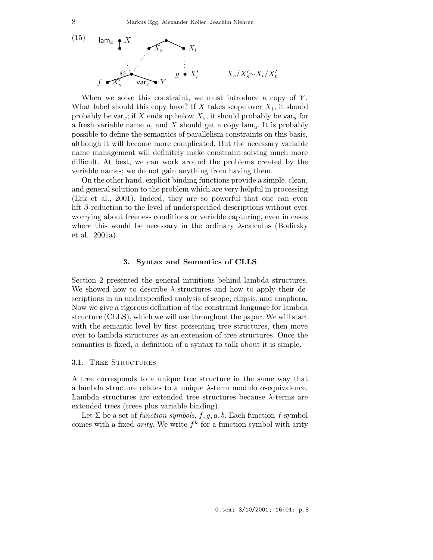

When we solve this constraint, we must introduce a copy of  $Y$ . What label should this copy have? If X takes scope over  $X_t$ , it should probably be var<sub>x</sub>; if X ends up below  $X_s$ , it should probably be var<sub>u</sub> for a fresh variable name u, and X should get a copy  $\mathsf{lam}_u$ . It is probably possible to define the semantics of parallelism constraints on this basis, although it will become more complicated. But the necessary variable name management will definitely make constraint solving much more difficult. At best, we can work around the problems created by the variable names; we do not gain anything from having them.

On the other hand, explicit binding functions provide a simple, clean, and general solution to the problem which are very helpful in processing (Erk et al., 2001). Indeed, they are so powerful that one can even lift  $\beta$ -reduction to the level of underspecified descriptions without ever worrying about freeness conditions or variable capturing, even in cases where this would be necessary in the ordinary  $\lambda$ -calculus (Bodirsky et al., 2001a).

#### 3. Syntax and Semantics of CLLS

Section 2 presented the general intuitions behind lambda structures. We showed how to describe  $\lambda$ -structures and how to apply their descriptions in an underspecified analysis of scope, ellipsis, and anaphora. Now we give a rigorous definition of the constraint language for lambda structure (CLLS), which we will use throughout the paper. We will start with the semantic level by first presenting tree structures, then move over to lambda structures as an extension of tree structures. Once the semantics is fixed, a definition of a syntax to talk about it is simple.

#### 3.1. TREE STRUCTURES

A tree corresponds to a unique tree structure in the same way that a lambda structure relates to a unique  $\lambda$ -term modulo  $\alpha$ -equivalence. Lambda structures are extended tree structures because  $\lambda$ -terms are extended trees (trees plus variable binding).

Let  $\Sigma$  be a set of *function symbols*,  $f, g, a, b$ . Each function  $f$  symbol comes with a fixed *arity*. We write  $f^k$  for a function symbol with arity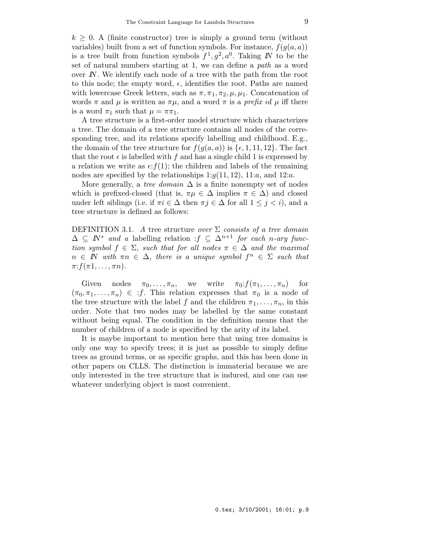$k \geq 0$ . A (finite constructor) tree is simply a ground term (without variables) built from a set of function symbols. For instance,  $f(g(a, a))$ is a tree built from function symbols  $f^1, g^2, a^0$ . Taking N to be the set of natural numbers starting at 1, we can define a path as a word over  $\mathbb{N}$ . We identify each node of a tree with the path from the root to this node; the empty word,  $\epsilon$ , identifies the root. Paths are named with lowercase Greek letters, such as  $\pi, \pi_1, \pi_2, \mu, \mu_1$ . Concatenation of words  $\pi$  and  $\mu$  is written as  $\pi\mu$ , and a word  $\pi$  is a prefix of  $\mu$  iff there is a word  $\pi_1$  such that  $\mu = \pi \pi_1$ .

A tree structure is a first-order model structure which characterizes a tree. The domain of a tree structure contains all nodes of the corresponding tree, and its relations specify labelling and childhood. E.g., the domain of the tree structure for  $f(g(a, a))$  is  $\{\epsilon, 1, 11, 12\}$ . The fact that the root  $\epsilon$  is labelled with f and has a single child 1 is expressed by a relation we write as  $\epsilon: f(1)$ ; the children and labels of the remaining nodes are specified by the relationships  $1:g(11, 12)$ ,  $11:a$ , and  $12:a$ .

More generally, a *tree domain*  $\Delta$  is a finite nonempty set of nodes which is prefixed-closed (that is,  $\pi \mu \in \Delta$  implies  $\pi \in \Delta$ ) and closed under left siblings (i.e. if  $\pi i \in \Delta$  then  $\pi j \in \Delta$  for all  $1 \leq j \leq i$ ), and a tree structure is defined as follows:

DEFINITION 3.1. A tree structure over  $\Sigma$  consists of a tree domain  $\Delta \subseteq \mathbb{N}^*$  and a labelling relation :  $f \subseteq \Delta^{n+1}$  for each n-ary function symbol  $f \in \Sigma$ , such that for all nodes  $\pi \in \Delta$  and the maximal  $n \in \mathbb{N}$  with  $\pi n \in \Delta$ , there is a unique symbol  $f^n \in \Sigma$  such that  $\pi: f(\pi 1, \ldots, \pi n).$ 

Given nodes  $\pi_0, \ldots, \pi_n$ , we write  $\pi_0: f(\pi_1, \ldots, \pi_n)$  for  $(\pi_0, \pi_1, \ldots, \pi_n) \in f$ . This relation expresses that  $\pi_0$  is a node of the tree structure with the label f and the children  $\pi_1, \ldots, \pi_n$ , in this order. Note that two nodes may be labelled by the same constant without being equal. The condition in the definition means that the number of children of a node is specified by the arity of its label.

It is maybe important to mention here that using tree domains is only one way to specify trees; it is just as possible to simply define trees as ground terms, or as specific graphs, and this has been done in other papers on CLLS. The distinction is immaterial because we are only interested in the tree structure that is induced, and one can use whatever underlying object is most convenient.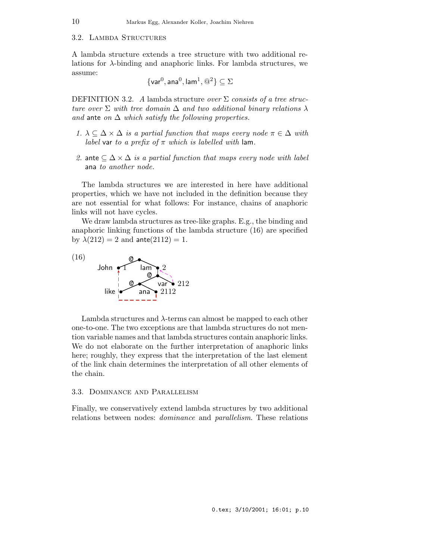#### 3.2. Lambda Structures

A lambda structure extends a tree structure with two additional relations for  $\lambda$ -binding and anaphoric links. For lambda structures, we assume:

$$
\{ \mathsf{var}^0, \mathsf{ana}^0, \mathsf{lam}^1, \mathbb{Q}^2 \} \subseteq \Sigma
$$

DEFINITION 3.2. A lambda structure over  $\Sigma$  consists of a tree structure over  $\Sigma$  with tree domain  $\Delta$  and two additional binary relations  $\lambda$ and ante on  $\Delta$  which satisfy the following properties.

- 1.  $\lambda \subseteq \Delta \times \Delta$  is a partial function that maps every node  $\pi \in \Delta$  with label var to a prefix of  $\pi$  which is labelled with lam.
- 2. ante  $\subseteq \Delta \times \Delta$  is a partial function that maps every node with label ana to another node.

The lambda structures we are interested in here have additional properties, which we have not included in the definition because they are not essential for what follows: For instance, chains of anaphoric links will not have cycles.

We draw lambda structures as tree-like graphs. E.g., the binding and anaphoric linking functions of the lambda structure (16) are specified by  $\lambda(212) = 2$  and ante $(2112) = 1$ .



Lambda structures and  $\lambda$ -terms can almost be mapped to each other one-to-one. The two exceptions are that lambda structures do not mention variable names and that lambda structures contain anaphoric links. We do not elaborate on the further interpretation of anaphoric links here; roughly, they express that the interpretation of the last element of the link chain determines the interpretation of all other elements of the chain.

#### 3.3. Dominance and Parallelism

Finally, we conservatively extend lambda structures by two additional relations between nodes: dominance and parallelism. These relations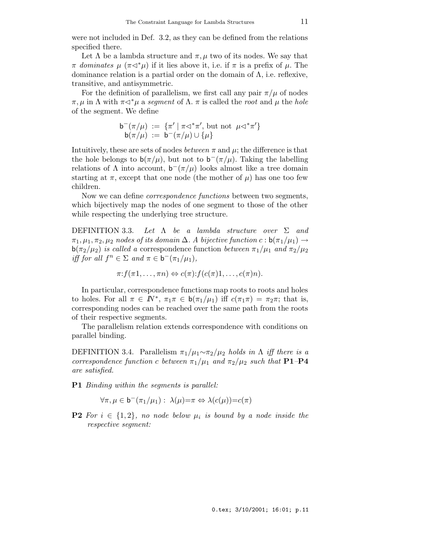were not included in Def. 3.2, as they can be defined from the relations specified there.

Let  $\Lambda$  be a lambda structure and  $\pi, \mu$  two of its nodes. We say that  $π$  dominates  $μ$  ( $π ⊂^*μ$ ) if it lies above it, i.e. if  $π$  is a prefix of  $μ$ . The dominance relation is a partial order on the domain of  $\Lambda$ , i.e. reflexive, transitive, and antisymmetric.

For the definition of parallelism, we first call any pair  $\pi/\mu$  of nodes  $\pi, \mu$  in  $\Lambda$  with  $\pi \langle \gamma^* \mu \rangle$  a sequent of  $\Lambda$ .  $\pi$  is called the root and  $\mu$  the hole of the segment. We define

$$
\begin{array}{rcl} \mathsf{b}^-(\pi/\mu) & := & \{\pi' \mid \pi \lhd^* \pi', \text{ but not } \mu \lhd^* \pi' \} \\ \mathsf{b}(\pi/\mu) & := & \mathsf{b}^-(\pi/\mu) \cup \{\mu\} \end{array}
$$

Intuitively, these are sets of nodes *between*  $\pi$  and  $\mu$ ; the difference is that the hole belongs to  $b(\pi/\mu)$ , but not to  $b^-(\pi/\mu)$ . Taking the labelling relations of  $\Lambda$  into account,  $\mathbf{b}^-(\pi/\mu)$  looks almost like a tree domain starting at  $\pi$ , except that one node (the mother of  $\mu$ ) has one too few children.

Now we can define correspondence functions between two segments, which bijectively map the nodes of one segment to those of the other while respecting the underlying tree structure.

DEFINITION 3.3. Let  $\Lambda$  be a lambda structure over  $\Sigma$  and  $\pi_1, \mu_1, \pi_2, \mu_2$  nodes of its domain  $\Delta$ . A bijective function  $c : \mathsf{b}(\pi_1/\mu_1) \rightarrow$  $b(\pi_2/\mu_2)$  is called a correspondence function between  $\pi_1/\mu_1$  and  $\pi_2/\mu_2$ iff for all  $f^n \in \Sigma$  and  $\pi \in \mathbf{b}^-(\pi_1/\mu_1)$ ,

$$
\pi: f(\pi 1, \ldots, \pi n) \Leftrightarrow c(\pi): f(c(\pi)1, \ldots, c(\pi)n).
$$

In particular, correspondence functions map roots to roots and holes to holes. For all  $\pi \in \mathbb{N}^*$ ,  $\pi_1 \pi \in \mathfrak{b}(\pi_1/\mu_1)$  iff  $c(\pi_1 \pi) = \pi_2 \pi$ ; that is, corresponding nodes can be reached over the same path from the roots of their respective segments.

The parallelism relation extends correspondence with conditions on parallel binding.

DEFINITION 3.4. Parallelism  $\pi_1/\mu_1 \sim \pi_2/\mu_2$  holds in  $\Lambda$  iff there is a correspondence function c between  $\pi_1/\mu_1$  and  $\pi_2/\mu_2$  such that **P1**-**P4** are satisfied.

**P1** Binding within the segments is parallel:

$$
\forall \pi, \mu \in \mathbf{b}^-(\pi_1/\mu_1): \ \lambda(\mu) = \pi \Leftrightarrow \lambda(c(\mu)) = c(\pi)
$$

**P2** For  $i \in \{1,2\}$ , no node below  $\mu_i$  is bound by a node inside the respective segment: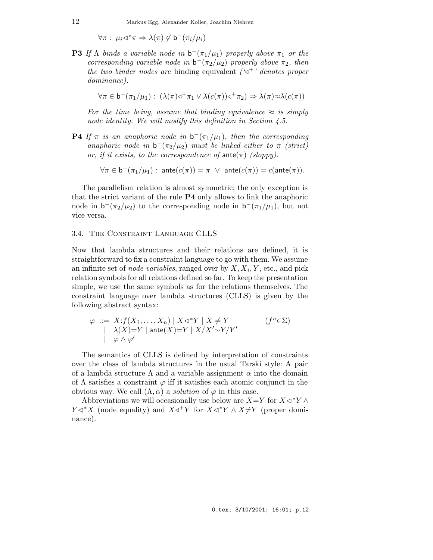$\forall \pi : \mu_i \lhd^* \pi \Rightarrow \lambda(\pi) \not\in b^-(\pi_i/\mu_i)$ 

**P3** If  $\Lambda$  binds a variable node in  $\mathbf{b}^-(\pi_1/\mu_1)$  properly above  $\pi_1$  or the corresponding variable node in  $\mathbf{b}^-(\pi_2/\mu_2)$  properly above  $\pi_2$ , then the two binder nodes are binding equivalent  $(4^+$  denotes proper dominance).

$$
\forall \pi \in \mathsf{b}^-(\pi_1/\mu_1): \; (\lambda(\pi) \triangleleft^+\pi_1 \vee \lambda(c(\pi)) \triangleleft^+\pi_2) \Rightarrow \lambda(\pi) \approx \lambda(c(\pi))
$$

For the time being, assume that binding equivalence  $\approx$  is simply node identity. We will modify this definition in Section 4.5.

**P4** If  $\pi$  is an anaphoric node in  $\mathbf{b}^-(\pi_1/\mu_1)$ , then the corresponding anaphoric node in  $b^-(\pi_2/\mu_2)$  must be linked either to  $\pi$  (strict) or, if it exists, to the correspondence of  $\text{ante}(\pi)$  (sloppy).

 $\forall \pi \in \mathsf{b}^-(\pi_1/\mu_1): \; \mathsf{ante}(c(\pi)) = \pi \; \lor \; \mathsf{ante}(c(\pi)) = c(\mathsf{ante}(\pi)).$ 

The parallelism relation is almost symmetric; the only exception is that the strict variant of the rule P4 only allows to link the anaphoric node in  $\mathbf{b}^-(\pi_2/\mu_2)$  to the corresponding node in  $\mathbf{b}^-(\pi_1/\mu_1)$ , but not vice versa.

#### 3.4. The Constraint Language CLLS

Now that lambda structures and their relations are defined, it is straightforward to fix a constraint language to go with them. We assume an infinite set of *node variables*, ranged over by  $X, X_i, Y$ , etc., and pick relation symbols for all relations defined so far. To keep the presentation simple, we use the same symbols as for the relations themselves. The constraint language over lambda structures (CLLS) is given by the following abstract syntax:

$$
\varphi ::= X : f(X_1, \dots, X_n) \mid X \lhd^* Y \mid X \neq Y
$$
  
\n
$$
\mid \lambda(X)=Y \mid \text{ante}(X)=Y \mid X/X' \sim Y/Y'
$$
  
\n
$$
\mid \varphi \land \varphi'
$$
 (f<sup>n</sup>  $\in \Sigma$ )

The semantics of CLLS is defined by interpretation of constraints over the class of lambda structures in the usual Tarski style: A pair of a lambda structure  $\Lambda$  and a variable assignment  $\alpha$  into the domain of  $\Lambda$  satisfies a constraint  $\varphi$  iff it satisfies each atomic conjunct in the obvious way. We call  $(\Lambda, \alpha)$  a *solution* of  $\varphi$  in this case.

Abbreviations we will occasionally use below are  $X=Y$  for  $X\triangleleft^*Y\wedge Y$  $Y \triangleleft^* X$  (node equality) and  $X \triangleleft^+ Y$  for  $X \triangleleft^* Y \wedge X \neq Y$  (proper dominance).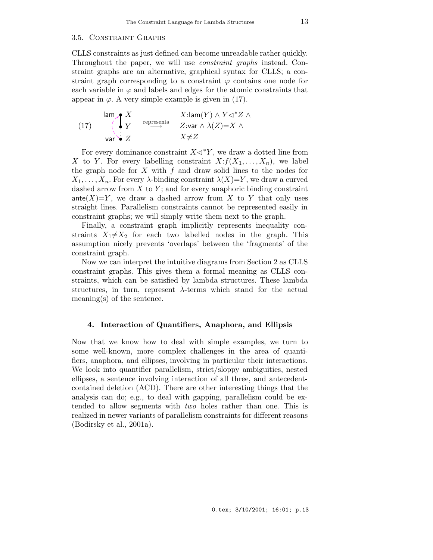#### 3.5. Constraint Graphs

CLLS constraints as just defined can become unreadable rather quickly. Throughout the paper, we will use constraint graphs instead. Constraint graphs are an alternative, graphical syntax for CLLS; a constraint graph corresponding to a constraint  $\varphi$  contains one node for each variable in  $\varphi$  and labels and edges for the atomic constraints that appear in  $\varphi$ . A very simple example is given in (17).

(17) 
$$
\lim_{Y \to Z} \int_{Y}^{X} \text{ represents } X:\text{lam}(Y) \wedge Y \triangleleft^* Z \wedge Z:\text{var} \wedge \lambda(Z)=X \wedge \lambda(Z)=X \wedge \lambda(Z)=X
$$

For every dominance constraint  $X \triangleleft^* Y$ , we draw a dotted line from X to Y. For every labelling constraint  $X: f(X_1, \ldots, X_n)$ , we label the graph node for  $X$  with  $f$  and draw solid lines to the nodes for  $X_1, \ldots, X_n$ . For every  $\lambda$ -binding constraint  $\lambda(X)=Y$ , we draw a curved dashed arrow from  $X$  to  $Y$ ; and for every anaphoric binding constraint  $\text{ante}(X)=Y$ , we draw a dashed arrow from X to Y that only uses straight lines. Parallelism constraints cannot be represented easily in constraint graphs; we will simply write them next to the graph.

Finally, a constraint graph implicitly represents inequality constraints  $X_1 \neq X_2$  for each two labelled nodes in the graph. This assumption nicely prevents 'overlaps' between the 'fragments' of the constraint graph.

Now we can interpret the intuitive diagrams from Section 2 as CLLS constraint graphs. This gives them a formal meaning as CLLS constraints, which can be satisfied by lambda structures. These lambda structures, in turn, represent  $\lambda$ -terms which stand for the actual meaning(s) of the sentence.

#### 4. Interaction of Quantifiers, Anaphora, and Ellipsis

Now that we know how to deal with simple examples, we turn to some well-known, more complex challenges in the area of quantifiers, anaphora, and ellipses, involving in particular their interactions. We look into quantifier parallelism, strict/sloppy ambiguities, nested ellipses, a sentence involving interaction of all three, and antecedentcontained deletion (ACD). There are other interesting things that the analysis can do; e.g., to deal with gapping, parallelism could be extended to allow segments with two holes rather than one. This is realized in newer variants of parallelism constraints for different reasons (Bodirsky et al., 2001a).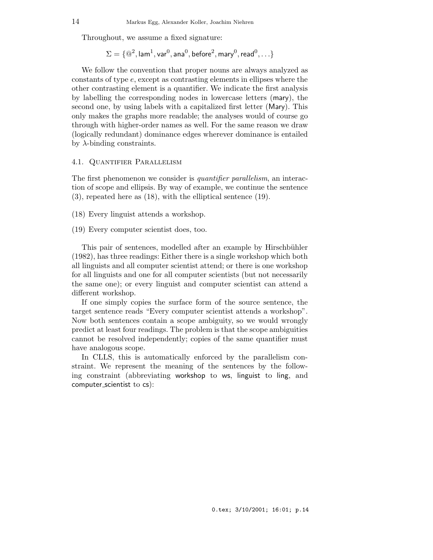Throughout, we assume a fixed signature:

 $\Sigma = \{{@^2, {\sf lam}^1, {\sf var}^0, {\sf ana}^0, {\sf before}^2, {\sf mary}^0, {\sf read}^0, \ldots\}$ 

We follow the convention that proper nouns are always analyzed as constants of type e, except as contrasting elements in ellipses where the other contrasting element is a quantifier. We indicate the first analysis by labelling the corresponding nodes in lowercase letters (mary), the second one, by using labels with a capitalized first letter (Mary). This only makes the graphs more readable; the analyses would of course go through with higher-order names as well. For the same reason we draw (logically redundant) dominance edges wherever dominance is entailed by  $\lambda$ -binding constraints.

#### 4.1. Quantifier Parallelism

The first phenomenon we consider is *quantifier parallelism*, an interaction of scope and ellipsis. By way of example, we continue the sentence (3), repeated here as (18), with the elliptical sentence (19).

(18) Every linguist attends a workshop.

(19) Every computer scientist does, too.

This pair of sentences, modelled after an example by Hirschbühler (1982), has three readings: Either there is a single workshop which both all linguists and all computer scientist attend; or there is one workshop for all linguists and one for all computer scientists (but not necessarily the same one); or every linguist and computer scientist can attend a different workshop.

If one simply copies the surface form of the source sentence, the target sentence reads "Every computer scientist attends a workshop". Now both sentences contain a scope ambiguity, so we would wrongly predict at least four readings. The problem is that the scope ambiguities cannot be resolved independently; copies of the same quantifier must have analogous scope.

In CLLS, this is automatically enforced by the parallelism constraint. We represent the meaning of the sentences by the following constraint (abbreviating workshop to ws, linguist to ling, and computer scientist to cs):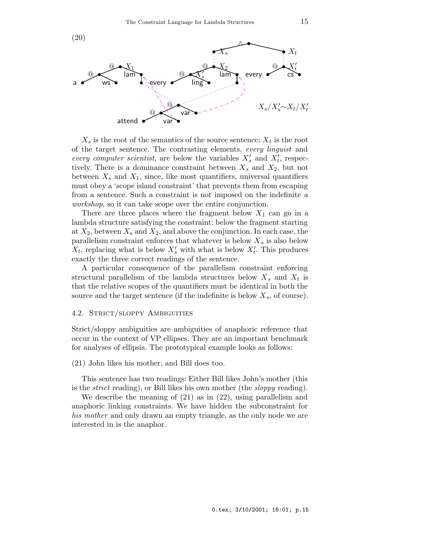

 $X_s$  is the root of the semantics of the source sentence;  $X_t$  is the root of the target sentence. The contrasting elements, every linguist and every computer scientist, are below the variables  $X'_{s}$  and  $X'_{t}$ , respectively. There is a dominance constraint between  $X_s$  and  $X_2$ , but not between  $X_s$  and  $X_1$ , since, like most quantifiers, universal quantifiers must obey a 'scope island constraint' that prevents them from escaping from a sentence. Such a constraint is not imposed on the indefinite a workshop, so it can take scope over the entire conjunction.

There are three places where the fragment below  $X_1$  can go in a lambda structure satisfying the constraint: below the fragment starting at  $X_2$ , between  $X_s$  and  $X_2$ , and above the conjunction. In each case, the parallelism constraint enforces that whatever is below  $X_s$  is also below  $X_t$ , replacing what is below  $X'_s$  with what is below  $X'_t$ . This produces exactly the three correct readings of the sentence.

A particular consequence of the parallelism constraint enforcing structural parallelism of the lambda structures below  $X_s$  and  $X_t$  is that the relative scopes of the quantifiers must be identical in both the source and the target sentence (if the indefinite is below  $X_s$ , of course).

#### 4.2. Strict/sloppy Ambiguities

Strict/sloppy ambiguities are ambiguities of anaphoric reference that occur in the context of VP ellipses. They are an important benchmark for analyses of ellipsis. The prototypical example looks as follows:

(21) John likes his mother, and Bill does too.

This sentence has two readings: Either Bill likes John's mother (this is the strict reading), or Bill likes his own mother (the sloppy reading).

We describe the meaning of (21) as in (22), using parallelism and anaphoric linking constraints. We have hidden the subconstraint for his mother and only drawn an empty triangle, as the only node we are interested in is the anaphor.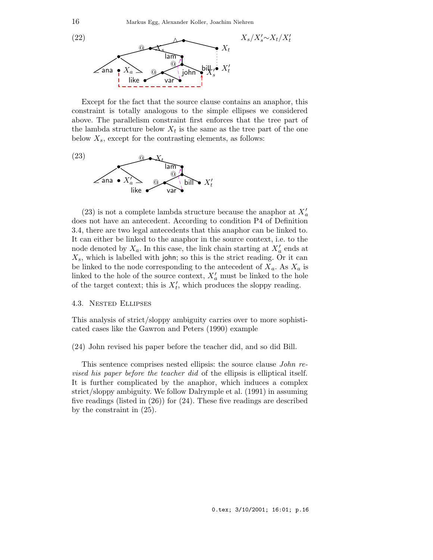

Except for the fact that the source clause contains an anaphor, this constraint is totally analogous to the simple ellipses we considered above. The parallelism constraint first enforces that the tree part of the lambda structure below  $X_t$  is the same as the tree part of the one below  $X_s$ , except for the contrasting elements, as follows:



(23) is not a complete lambda structure because the anaphor at  $X^\prime_a$ does not have an antecedent. According to condition P4 of Definition 3.4, there are two legal antecedents that this anaphor can be linked to. It can either be linked to the anaphor in the source context, i.e. to the node denoted by  $X_a$ . In this case, the link chain starting at  $X'_a$  ends at  $X_s$ , which is labelled with john; so this is the strict reading. Or it can be linked to the node corresponding to the antecedent of  $X_a$ . As  $X_a$  is linked to the hole of the source context,  $X'_a$  must be linked to the hole of the target context; this is  $X'_t$ , which produces the sloppy reading.

#### 4.3. Nested Ellipses

This analysis of strict/sloppy ambiguity carries over to more sophisticated cases like the Gawron and Peters (1990) example

#### (24) John revised his paper before the teacher did, and so did Bill.

This sentence comprises nested ellipsis: the source clause John revised his paper before the teacher did of the ellipsis is elliptical itself. It is further complicated by the anaphor, which induces a complex strict/sloppy ambiguity. We follow Dalrymple et al. (1991) in assuming five readings (listed in (26)) for (24). These five readings are described by the constraint in (25).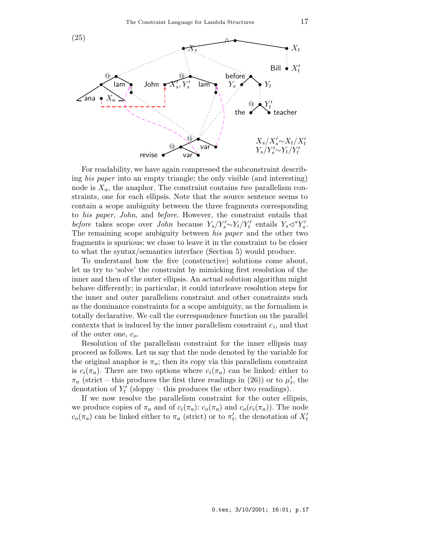

For readability, we have again compressed the subconstraint describing his paper into an empty triangle; the only visible (and interesting) node is  $X_a$ , the anaphor. The constraint contains two parallelism constraints, one for each ellipsis. Note that the source sentence seems to contain a scope ambiguity between the three fragments corresponding to his paper, John, and before. However, the constraint entails that before takes scope over *John* because  $Y_s/Y_s'\sim Y_t/Y_t'$  entails  $Y_s\lhd^*Y_s'$ s . The remaining scope ambiguity between his paper and the other two fragments is spurious; we chose to leave it in the constraint to be closer to what the syntax/semantics interface (Section 5) would produce.

To understand how the five (constructive) solutions come about, let us try to 'solve' the constraint by mimicking first resolution of the inner and then of the outer ellipsis. An actual solution algorithm might behave differently; in particular, it could interleave resolution steps for the inner and outer parallelism constraint and other constraints such as the dominance constraints for a scope ambiguity, as the formalism is totally declarative. We call the correspondence function on the parallel  $\alpha$  contexts that is induced by the inner parallelism constraint  $c_i$ , and that of the outer one,  $c_o$ .

Resolution of the parallelism constraint for the inner ellipsis may proceed as follows. Let us say that the node denoted by the variable for the original anaphor is  $\pi_a$ ; then its copy via this parallelism constraint is  $c_i(\pi_a)$ . There are two options where  $c_i(\pi_a)$  can be linked: either to  $\pi_a$  (strict – this produces the first three readings in (26)) or to  $\mu'_t$  $t'$ , the denotation of  $Y_t'$  $t'$  (sloppy – this produces the other two readings).

If we now resolve the parallelism constraint for the outer ellipsis, we produce copies of  $\pi_a$  and of  $c_i(\pi_a): c_o(\pi_a)$  and  $c_o(c_i(\pi_a))$ . The node  $c_o(\pi_a)$  can be linked either to  $\pi_a$  (strict) or to  $\pi'_t$  $t'$ , the denotation of  $X'_t$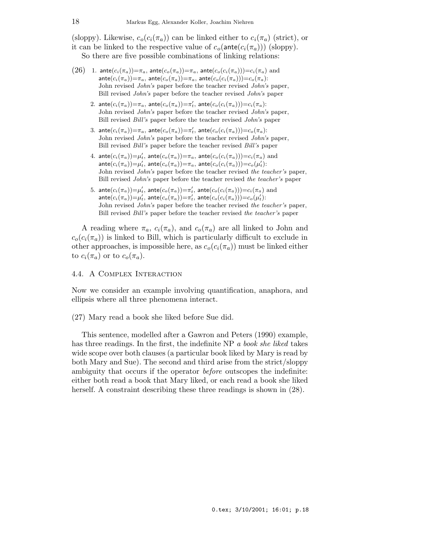(sloppy). Likewise,  $c_o(c_i(\pi_a))$  can be linked either to  $c_i(\pi_a)$  (strict), or it can be linked to the respective value of  $c_o(\text{ante}(c_i(\pi_a)))$  (sloppy). So there are five possible combinations of linking relations:

- $(26)$  1. ante $(c_i(\pi_a))=\pi_a$ , ante $(c_o(\pi_a))=\pi_a$ , ante $(c_o(c_i(\pi_a)))=c_i(\pi_a)$  and ante $(c_i(\pi_a))=\pi_a$ , ante $(c_o(\pi_a))=\pi_a$ , ante $(c_o(c_i(\pi_a)))=c_o(\pi_a)$ : John revised John's paper before the teacher revised John's paper, Bill revised John's paper before the teacher revised John's paper
	- 2. ante $(c_i(\pi_a))=\pi_a$ , ante $(c_o(\pi_a))=\pi'_t$ , ante $(c_o(c_i(\pi_a)))=c_i(\pi_a)$ : John revised John's paper before the teacher revised John's paper, Bill revised Bill's paper before the teacher revised John's paper
	- 3. ante $(c_i(\pi_a))=\pi_a$ , ante $(c_o(\pi_a))=\pi'_t$ , ante $(c_o(c_i(\pi_a)))=c_o(\pi_a)$ : John revised John's paper before the teacher revised John's paper, Bill revised Bill's paper before the teacher revised Bill's paper
	- 4. ante $(c_i(\pi_a))=\mu'_t$ , ante $(c_o(\pi_a))=\pi_a$ , ante $(c_o(c_i(\pi_a)))=c_i(\pi_a)$  and  $\mathsf{ante}(c_i(\pi_a)) = \mu'_t$ ,  $\mathsf{ante}(c_o(\pi_a)) = \pi_a$ ,  $\mathsf{ante}(c_o(c_i(\pi_a))) = c_o(\mu'_t)$ : John revised John's paper before the teacher revised the teacher's paper, Bill revised John's paper before the teacher revised the teacher's paper
	- 5. ante $(c_i(\pi_a))=\mu'_t$ , ante $(c_o(\pi_a))=\pi'_t$ , ante $(c_o(c_i(\pi_a)))=c_i(\pi_a)$  and  $\mathsf{ante}(c_i(\pi_a))\!\!=\!\!\mu_t',\, \mathsf{ante}(c_o(\pi_a))\!\!=\!\!\pi_t',\, \mathsf{ante}(c_o(c_i(\pi_a)))\!\!=\!\!c_o(\mu_t')\!\!:$ John revised John's paper before the teacher revised the teacher's paper, Bill revised Bill's paper before the teacher revised the teacher's paper

A reading where  $\pi_a$ ,  $c_i(\pi_a)$ , and  $c_o(\pi_a)$  are all linked to John and  $c_0(c_i(\pi_a))$  is linked to Bill, which is particularly difficult to exclude in other approaches, is impossible here, as  $c_o(c_i(\pi_a))$  must be linked either to  $c_i(\pi_a)$  or to  $c_o(\pi_a)$ .

#### 4.4. A Complex Interaction

Now we consider an example involving quantification, anaphora, and ellipsis where all three phenomena interact.

#### (27) Mary read a book she liked before Sue did.

This sentence, modelled after a Gawron and Peters (1990) example, has three readings. In the first, the indefinite NP a book she liked takes wide scope over both clauses (a particular book liked by Mary is read by both Mary and Sue). The second and third arise from the strict/sloppy ambiguity that occurs if the operator before outscopes the indefinite: either both read a book that Mary liked, or each read a book she liked herself. A constraint describing these three readings is shown in (28).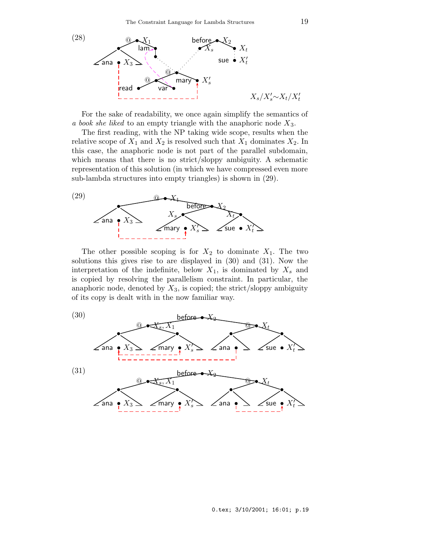

For the sake of readability, we once again simplify the semantics of a book she liked to an empty triangle with the anaphoric node  $X_3$ .

The first reading, with the NP taking wide scope, results when the relative scope of  $X_1$  and  $X_2$  is resolved such that  $X_1$  dominates  $X_2$ . In this case, the anaphoric node is not part of the parallel subdomain, which means that there is no strict/sloppy ambiguity. A schematic representation of this solution (in which we have compressed even more sub-lambda structures into empty triangles) is shown in (29).



The other possible scoping is for  $X_2$  to dominate  $X_1$ . The two solutions this gives rise to are displayed in (30) and (31). Now the interpretation of the indefinite, below  $X_1$ , is dominated by  $X_s$  and is copied by resolving the parallelism constraint. In particular, the anaphoric node, denoted by  $X_3$ , is copied; the strict/sloppy ambiguity of its copy is dealt with in the now familiar way.

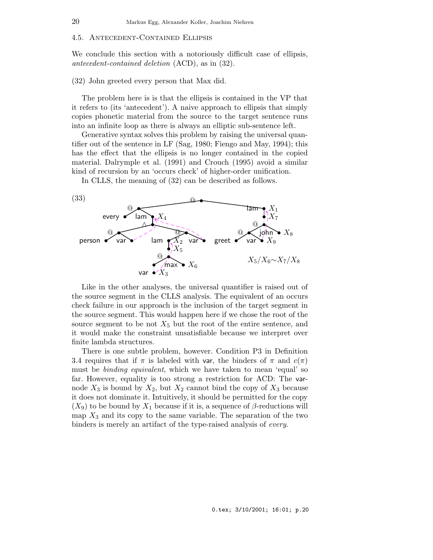#### 4.5. Antecedent-Contained Ellipsis

We conclude this section with a notoriously difficult case of ellipsis, antecedent-contained deletion (ACD), as in (32).

(32) John greeted every person that Max did.

The problem here is is that the ellipsis is contained in the VP that it refers to (its 'antecedent'). A naive approach to ellipsis that simply copies phonetic material from the source to the target sentence runs into an infinite loop as there is always an elliptic sub-sentence left.

Generative syntax solves this problem by raising the universal quantifier out of the sentence in LF (Sag, 1980; Fiengo and May, 1994); this has the effect that the ellipsis is no longer contained in the copied material. Dalrymple et al. (1991) and Crouch (1995) avoid a similar kind of recursion by an 'occurs check' of higher-order unification.

In CLLS, the meaning of (32) can be described as follows.



Like in the other analyses, the universal quantifier is raised out of the source segment in the CLLS analysis. The equivalent of an occurs check failure in our approach is the inclusion of the target segment in the source segment. This would happen here if we chose the root of the source segment to be not  $X_5$  but the root of the entire sentence, and it would make the constraint unsatisfiable because we interpret over finite lambda structures.

There is one subtle problem, however. Condition P3 in Definition 3.4 requires that if  $\pi$  is labeled with var, the binders of  $\pi$  and  $c(\pi)$ must be binding equivalent, which we have taken to mean 'equal' so far. However, equality is too strong a restriction for ACD: The varnode  $X_3$  is bound by  $X_2$ , but  $X_2$  cannot bind the copy of  $X_3$  because it does not dominate it. Intuitively, it should be permitted for the copy  $(X_9)$  to be bound by  $X_1$  because if it is, a sequence of  $\beta$ -reductions will map  $X_3$  and its copy to the same variable. The separation of the two binders is merely an artifact of the type-raised analysis of every.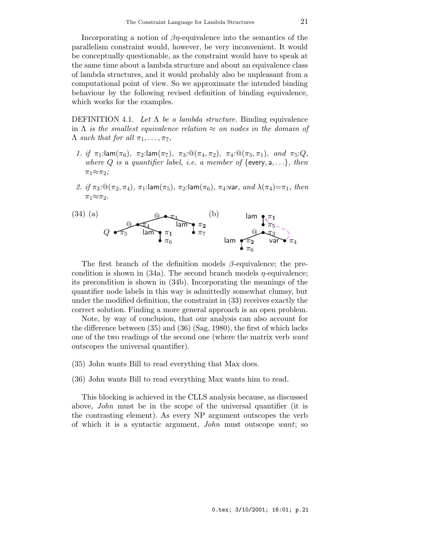Incorporating a notion of  $\beta\eta$ -equivalence into the semantics of the parallelism constraint would, however, be very inconvenient. It would be conceptually questionable, as the constraint would have to speak at the same time about a lambda structure and about an equivalence class of lambda structures, and it would probably also be unpleasant from a computational point of view. So we approximate the intended binding behaviour by the following revised definition of binding equivalence, which works for the examples.

DEFINITION 4.1. Let  $\Lambda$  be a lambda structure. Binding equivalence in  $\Lambda$  is the smallest equivalence relation  $\approx$  on nodes in the domain of  $\Lambda$  such that for all  $\pi_1, \ldots, \pi_7$ ,

- 1. if  $\pi_1$ :lam $(\pi_6)$ ,  $\pi_2$ :lam $(\pi_7)$ ,  $\pi_3$ : $\mathcal{Q}(\pi_4, \pi_2)$ ,  $\pi_4$ : $\mathcal{Q}(\pi_5, \pi_1)$ , and  $\pi_5$ : $Q$ , where Q is a quantifier label, i.e. a member of  $\{every, a, ...\}$ , then  $\pi_1 \approx \pi_2$ ;
- 2. if  $\pi_3$ : $\mathcal{Q}(\pi_2, \pi_4)$ ,  $\pi_1$ :lam $(\pi_5)$ ,  $\pi_2$ :lam $(\pi_6)$ ,  $\pi_4$ :var, and  $\lambda(\pi_4) = \pi_1$ , then  $\pi_1 \approx \pi_2$ .



The first branch of the definition models  $\beta$ -equivalence; the precondition is shown in (34a). The second branch models  $\eta$ -equivalence; its precondition is shown in (34b). Incorporating the meanings of the quantifier node labels in this way is admittedly somewhat clumsy, but under the modified definition, the constraint in (33) receives exactly the correct solution. Finding a more general approach is an open problem.

Note, by way of conclusion, that our analysis can also account for the difference between (35) and (36) (Sag, 1980), the first of which lacks one of the two readings of the second one (where the matrix verb want outscopes the universal quantifier).

- (35) John wants Bill to read everything that Max does.
- (36) John wants Bill to read everything Max wants him to read.

This blocking is achieved in the CLLS analysis because, as discussed above, John must be in the scope of the universal quantifier (it is the contrasting element). As every NP argument outscopes the verb of which it is a syntactic argument, John must outscope want; so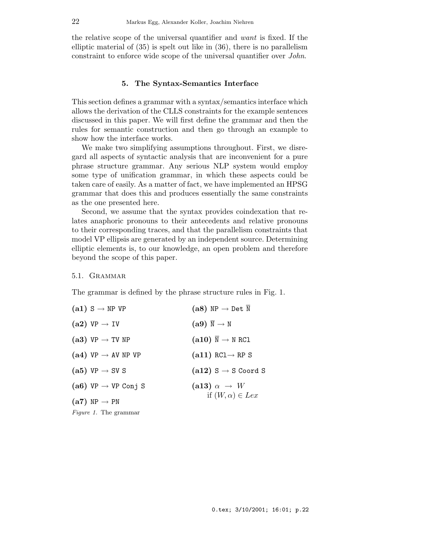the relative scope of the universal quantifier and want is fixed. If the elliptic material of (35) is spelt out like in (36), there is no parallelism constraint to enforce wide scope of the universal quantifier over John.

#### 5. The Syntax-Semantics Interface

This section defines a grammar with a syntax/semantics interface which allows the derivation of the CLLS constraints for the example sentences discussed in this paper. We will first define the grammar and then the rules for semantic construction and then go through an example to show how the interface works.

We make two simplifying assumptions throughout. First, we disregard all aspects of syntactic analysis that are inconvenient for a pure phrase structure grammar. Any serious NLP system would employ some type of unification grammar, in which these aspects could be taken care of easily. As a matter of fact, we have implemented an HPSG grammar that does this and produces essentially the same constraints as the one presented here.

Second, we assume that the syntax provides coindexation that relates anaphoric pronouns to their antecedents and relative pronouns to their corresponding traces, and that the parallelism constraints that model VP ellipsis are generated by an independent source. Determining elliptic elements is, to our knowledge, an open problem and therefore beyond the scope of this paper.

#### 5.1. Grammar

The grammar is defined by the phrase structure rules in Fig. 1.

| $\text{(a1)}$ S $\rightarrow$ NP VP | $(a8) NP \rightarrow Det \overline{N}$ |
|-------------------------------------|----------------------------------------|
| $(a2) VP \rightarrow IV$            | $(a9) \overline{N} \rightarrow N$      |
| $(a3)$ VP $\rightarrow$ TV NP       | $(a10) \overline{N} \rightarrow N RC1$ |
| $(a4) VP \rightarrow AV NP VP$      | $\text{(a11)}$ RC1 $\rightarrow$ RP S  |
| $(a5)$ VP $\rightarrow$ SV S        | $(a12)$ S $\rightarrow$ S Coord S      |
| (a6) $VP \rightarrow VP$ Conj S     | $\mathbf{(a13)}\alpha \rightarrow W$   |
| $(a7) NP \rightarrow PN$            | if $(W, \alpha) \in Lex$               |
| <i>Figure 1.</i> The grammar        |                                        |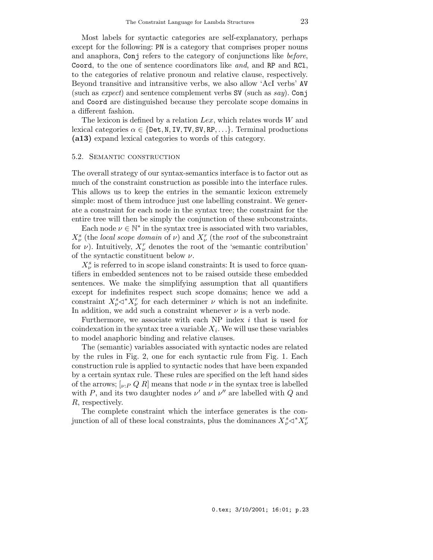Most labels for syntactic categories are self-explanatory, perhaps except for the following: PN is a category that comprises proper nouns and anaphora, Conj refers to the category of conjunctions like before, Coord, to the one of sentence coordinators like and, and RP and RCl, to the categories of relative pronoun and relative clause, respectively. Beyond transitive and intransitive verbs, we also allow 'AcI verbs' AV (such as *expect*) and sentence complement verbs SV (such as  $say$ ). Conj and Coord are distinguished because they percolate scope domains in a different fashion.

The lexicon is defined by a relation  $Lex$ , which relates words  $W$  and lexical categories  $\alpha \in \{\texttt{Det}, \texttt{N}, \texttt{IV}, \texttt{TV}, \texttt{SV}, \texttt{RP}, \ldots\}$ . Terminal productions (a13) expand lexical categories to words of this category.

#### 5.2. Semantic construction

The overall strategy of our syntax-semantics interface is to factor out as much of the constraint construction as possible into the interface rules. This allows us to keep the entries in the semantic lexicon extremely simple: most of them introduce just one labelling constraint. We generate a constraint for each node in the syntax tree; the constraint for the entire tree will then be simply the conjunction of these subconstraints.

Each node  $\nu \in \mathbb{N}^*$  in the syntax tree is associated with two variables,  $X^s_\nu$  (the *local scope domain* of  $\nu$ ) and  $X^r_\nu$  (the *root* of the subconstraint for  $\nu$ ). Intuitively,  $X_{\nu}^{r}$  denotes the root of the 'semantic contribution' of the syntactic constituent below  $\nu$ .

 $X^s_\nu$  is referred to in scope island constraints: It is used to force quantifiers in embedded sentences not to be raised outside these embedded sentences. We make the simplifying assumption that all quantifiers except for indefinites respect such scope domains; hence we add a constraint  $X^s_{\nu} \triangleleft^* X^r_{\nu}$  for each determiner  $\nu$  which is not an indefinite. In addition, we add such a constraint whenever  $\nu$  is a verb node.

Furthermore, we associate with each NP index i that is used for coindexation in the syntax tree a variable  $X_i$ . We will use these variables to model anaphoric binding and relative clauses.

The (semantic) variables associated with syntactic nodes are related by the rules in Fig. 2, one for each syntactic rule from Fig. 1. Each construction rule is applied to syntactic nodes that have been expanded by a certain syntax rule. These rules are specified on the left hand sides of the arrows;  $[\nu P Q R]$  means that node  $\nu$  in the syntax tree is labelled with P, and its two daughter nodes  $\nu'$  and  $\nu''$  are labelled with Q and R, respectively.

The complete constraint which the interface generates is the conjunction of all of these local constraints, plus the dominances  $X^s_{\nu} \triangleleft^* X^r_{\nu}$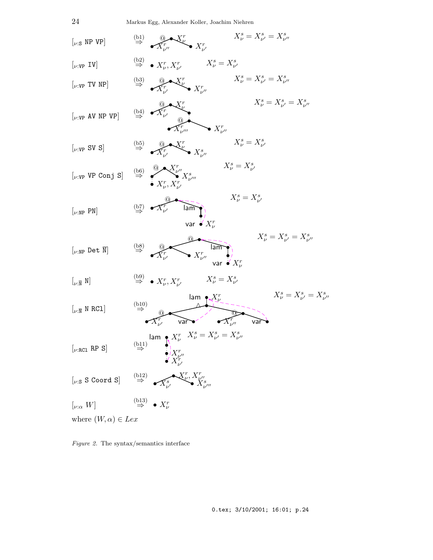24 Markus Egg, Alexander Koller, Joachim Niehren

[ν:<sup>S</sup> NP VP] (b1) <sup>⇒</sup> @ • <sup>X</sup><sup>r</sup> ν • X<sup>r</sup> ν <sup>00</sup> • X<sup>r</sup> ν 0 X<sup>s</sup> <sup>ν</sup> = X<sup>s</sup> ν <sup>0</sup> = X<sup>s</sup> ν 00 [ν:VP IV] (b2) <sup>⇒</sup> • <sup>X</sup><sup>r</sup> ν , X<sup>r</sup> ν <sup>0</sup> X<sup>s</sup> <sup>ν</sup> = X<sup>s</sup> ν 0 [ν:VP TV NP] (b3) <sup>⇒</sup> @ • <sup>X</sup><sup>r</sup> ν • X<sup>r</sup> ν <sup>0</sup> • X<sup>r</sup> ν 00 X<sup>s</sup> <sup>ν</sup> = X<sup>s</sup> ν <sup>0</sup> = X<sup>s</sup> ν 00 [ν:VP AV NP VP] (b4) ⇒ @ • X<sup>r</sup> ν • X<sup>r</sup> ν <sup>0</sup> • @ • • X<sup>r</sup> ν <sup>000</sup> • X<sup>r</sup> ν 00 X<sup>s</sup> <sup>ν</sup> = X<sup>s</sup> ν <sup>0</sup> = X<sup>s</sup> ν 00 [ν:VP SV S] (b5) <sup>⇒</sup> @ • <sup>X</sup><sup>r</sup> ν • X<sup>r</sup> ν <sup>0</sup> • X<sup>s</sup> ν 00 X<sup>s</sup> <sup>ν</sup> = X<sup>s</sup> ν 0 [ν:VP VP Conj S] (b6) ⇒ @ • X<sup>r</sup> ν 00 • • X<sup>r</sup> ν , X<sup>r</sup> ν 0 • X<sup>s</sup> ν 000 X<sup>s</sup> <sup>ν</sup> = X<sup>s</sup> ν 0 [ν:NP PN] (b7) ⇒ @ • • X<sup>r</sup> ν <sup>0</sup> lam • • var • X<sup>r</sup> ν X<sup>s</sup> <sup>ν</sup> = X<sup>s</sup> ν 0 [ν:NP Det N] (b8) ⇒ @ • @ • • X<sup>r</sup> ν <sup>0</sup> • X<sup>r</sup> ν 00 lam • • var • X<sup>r</sup> ν X<sup>s</sup> <sup>ν</sup> = X<sup>s</sup> ν <sup>0</sup> = X<sup>s</sup> ν 00 [ν:<sup>N</sup> N] (b9) <sup>⇒</sup> • <sup>X</sup><sup>r</sup> ν , X<sup>r</sup> ν <sup>0</sup> X<sup>s</sup> <sup>ν</sup> = X<sup>s</sup> ν 0 [ν:<sup>N</sup> N RCl] (b10) <sup>⇒</sup> lam • X<sup>r</sup> ν ∧ • @ • • X<sup>r</sup> ν <sup>0</sup> var • @ • • X<sup>r</sup> ν <sup>00</sup> var • X<sup>s</sup> <sup>ν</sup> = X<sup>s</sup> ν <sup>0</sup> = X<sup>s</sup> ν 00 [ν:RCl RP S] (b11) <sup>⇒</sup> lam • X<sup>r</sup> ν • • X<sup>r</sup> ν 00 • X<sup>r</sup> ν 0 X<sup>s</sup> <sup>ν</sup> = X<sup>s</sup> ν <sup>0</sup> = X<sup>s</sup> ν 00 [ν:<sup>S</sup> S Coord S] (b12) <sup>⇒</sup> • X<sup>r</sup> ν , X<sup>r</sup> ν 00 • X<sup>s</sup> ν <sup>0</sup> • X<sup>s</sup> ν 000 [ν:<sup>α</sup> W] (b13) <sup>⇒</sup> • <sup>X</sup><sup>r</sup> ν where (W, α) ∈ Lex

 $Figure\ 2.$  The syntax/semantics interface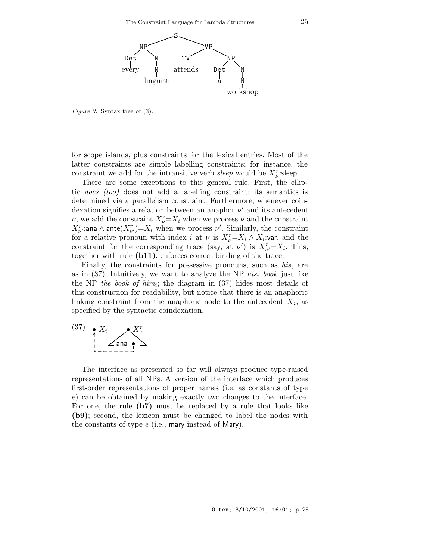

Figure 3. Syntax tree of (3).

for scope islands, plus constraints for the lexical entries. Most of the latter constraints are simple labelling constraints; for instance, the constraint we add for the intransitive verb *sleep* would be  $X_{\nu}^{r}$ : sleep.

There are some exceptions to this general rule. First, the elliptic does (too) does not add a labelling constraint; its semantics is determined via a parallelism constraint. Furthermore, whenever coindexation signifies a relation between an anaphor  $\nu'$  and its antecedent  $\nu$ , we add the constraint  $X_{\nu}^r = X_i$  when we process  $\nu$  and the constraint  $X_{\nu}^r$ :ana  $\wedge$  ante $(X_{\nu}^r) = X_i$  when we process  $\nu'$ . Similarly, the constraint for a relative pronoun with index i at  $\nu$  is  $X_{\nu}^r = X_i \wedge X_i$ : var, and the constraint for the corresponding trace (say, at  $\nu'$ ) is  $X_{\nu}^r = X_i$ . This, together with rule (b11), enforces correct binding of the trace.

Finally, the constraints for possessive pronouns, such as his, are as in  $(37)$ . Intuitively, we want to analyze the NP his<sub>i</sub> book just like the NP the book of  $him_i$ ; the diagram in (37) hides most details of this construction for readability, but notice that there is an anaphoric linking constraint from the anaphoric node to the antecedent  $X_i$ , as specified by the syntactic coindexation.



The interface as presented so far will always produce type-raised representations of all NPs. A version of the interface which produces first-order representations of proper names (i.e. as constants of type e) can be obtained by making exactly two changes to the interface. For one, the rule (b7) must be replaced by a rule that looks like (b9); second, the lexicon must be changed to label the nodes with the constants of type  $e$  (i.e., mary instead of Mary).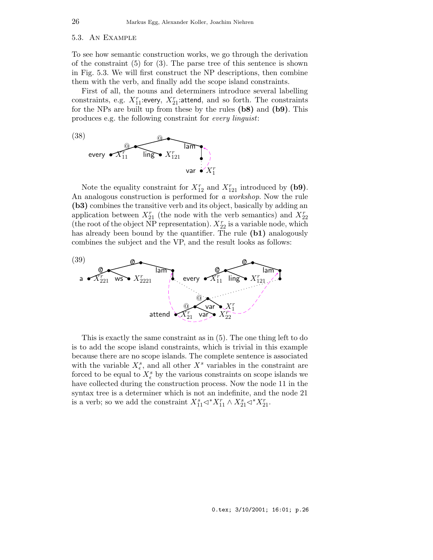#### 5.3. An Example

To see how semantic construction works, we go through the derivation of the constraint (5) for (3). The parse tree of this sentence is shown in Fig. 5.3. We will first construct the NP descriptions, then combine them with the verb, and finally add the scope island constraints.

First of all, the nouns and determiners introduce several labelling constraints, e.g.  $X_{11}^r$ :every,  $X_{21}^r$ :attend, and so forth. The constraints for the NPs are built up from these by the rules (b8) and (b9). This produces e.g. the following constraint for every linguist:



Note the equality constraint for  $X_{12}^r$  and  $X_{121}^r$  introduced by (b9). An analogous construction is performed for a workshop. Now the rule (b3) combines the transitive verb and its object, basically by adding an application between  $X_{21}^r$  (the node with the verb semantics) and  $X_{22}^r$ (the root of the object  $\overline{NP}$  representation).  $X_{22}^r$  is a variable node, which has already been bound by the quantifier. The rule (b1) analogously combines the subject and the VP, and the result looks as follows:



This is exactly the same constraint as in (5). The one thing left to do is to add the scope island constraints, which is trivial in this example because there are no scope islands. The complete sentence is associated with the variable  $X^s_{\epsilon}$ , and all other  $X^s$  variables in the constraint are forced to be equal to  $X_{\epsilon}^{s}$  by the various constraints on scope islands we have collected during the construction process. Now the node 11 in the syntax tree is a determiner which is not an indefinite, and the node 21 is a verb; so we add the constraint  $X_{11}^s \triangleleft^* X_{11}^r \wedge X_{21}^s \triangleleft^* X_{21}^r$ .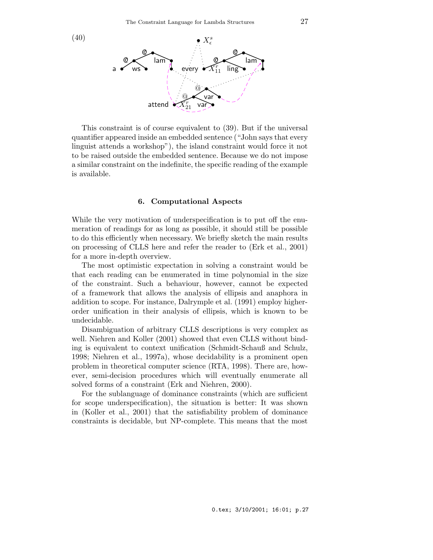

This constraint is of course equivalent to (39). But if the universal quantifier appeared inside an embedded sentence ("John says that every linguist attends a workshop"), the island constraint would force it not to be raised outside the embedded sentence. Because we do not impose a similar constraint on the indefinite, the specific reading of the example is available.

#### 6. Computational Aspects

While the very motivation of underspecification is to put off the enumeration of readings for as long as possible, it should still be possible to do this efficiently when necessary. We briefly sketch the main results on processing of CLLS here and refer the reader to (Erk et al., 2001) for a more in-depth overview.

The most optimistic expectation in solving a constraint would be that each reading can be enumerated in time polynomial in the size of the constraint. Such a behaviour, however, cannot be expected of a framework that allows the analysis of ellipsis and anaphora in addition to scope. For instance, Dalrymple et al. (1991) employ higherorder unification in their analysis of ellipsis, which is known to be undecidable.

Disambiguation of arbitrary CLLS descriptions is very complex as well. Niehren and Koller (2001) showed that even CLLS without binding is equivalent to context unification (Schmidt-Schauß and Schulz, 1998; Niehren et al., 1997a), whose decidability is a prominent open problem in theoretical computer science (RTA, 1998). There are, however, semi-decision procedures which will eventually enumerate all solved forms of a constraint (Erk and Niehren, 2000).

For the sublanguage of dominance constraints (which are sufficient for scope underspecification), the situation is better: It was shown in (Koller et al., 2001) that the satisfiability problem of dominance constraints is decidable, but NP-complete. This means that the most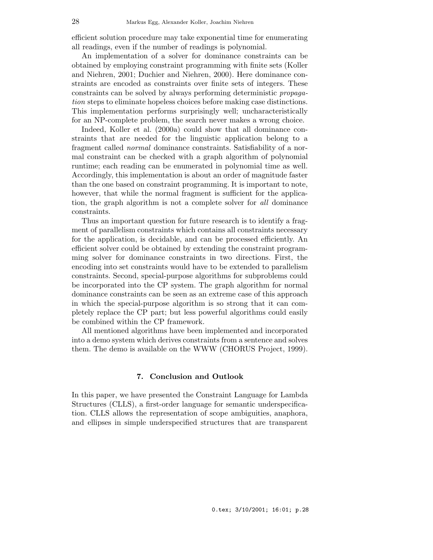efficient solution procedure may take exponential time for enumerating all readings, even if the number of readings is polynomial.

An implementation of a solver for dominance constraints can be obtained by employing constraint programming with finite sets (Koller and Niehren, 2001; Duchier and Niehren, 2000). Here dominance constraints are encoded as constraints over finite sets of integers. These constraints can be solved by always performing deterministic propagation steps to eliminate hopeless choices before making case distinctions. This implementation performs surprisingly well; uncharacteristically for an NP-complete problem, the search never makes a wrong choice.

Indeed, Koller et al. (2000a) could show that all dominance constraints that are needed for the linguistic application belong to a fragment called normal dominance constraints. Satisfiability of a normal constraint can be checked with a graph algorithm of polynomial runtime; each reading can be enumerated in polynomial time as well. Accordingly, this implementation is about an order of magnitude faster than the one based on constraint programming. It is important to note, however, that while the normal fragment is sufficient for the application, the graph algorithm is not a complete solver for all dominance constraints.

Thus an important question for future research is to identify a fragment of parallelism constraints which contains all constraints necessary for the application, is decidable, and can be processed efficiently. An efficient solver could be obtained by extending the constraint programming solver for dominance constraints in two directions. First, the encoding into set constraints would have to be extended to parallelism constraints. Second, special-purpose algorithms for subproblems could be incorporated into the CP system. The graph algorithm for normal dominance constraints can be seen as an extreme case of this approach in which the special-purpose algorithm is so strong that it can completely replace the CP part; but less powerful algorithms could easily be combined within the CP framework.

All mentioned algorithms have been implemented and incorporated into a demo system which derives constraints from a sentence and solves them. The demo is available on the WWW (CHORUS Project, 1999).

#### 7. Conclusion and Outlook

In this paper, we have presented the Constraint Language for Lambda Structures (CLLS), a first-order language for semantic underspecification. CLLS allows the representation of scope ambiguities, anaphora, and ellipses in simple underspecified structures that are transparent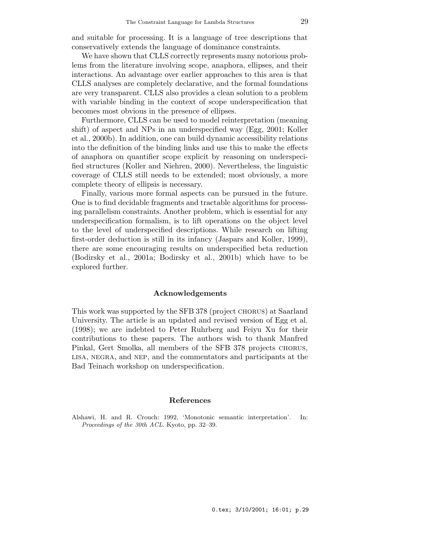and suitable for processing. It is a language of tree descriptions that conservatively extends the language of dominance constraints.

We have shown that CLLS correctly represents many notorious problems from the literature involving scope, anaphora, ellipses, and their interactions. An advantage over earlier approaches to this area is that CLLS analyses are completely declarative, and the formal foundations are very transparent. CLLS also provides a clean solution to a problem with variable binding in the context of scope underspecification that becomes most obvious in the presence of ellipses.

Furthermore, CLLS can be used to model reinterpretation (meaning shift) of aspect and NPs in an underspecified way (Egg, 2001; Koller et al., 2000b). In addition, one can build dynamic accessibility relations into the definition of the binding links and use this to make the effects of anaphora on quantifier scope explicit by reasoning on underspecified structures (Koller and Niehren, 2000). Nevertheless, the linguistic coverage of CLLS still needs to be extended; most obviously, a more complete theory of ellipsis is necessary.

Finally, various more formal aspects can be pursued in the future. One is to find decidable fragments and tractable algorithms for processing parallelism constraints. Another problem, which is essential for any underspecification formalism, is to lift operations on the object level to the level of underspecified descriptions. While research on lifting first-order deduction is still in its infancy (Jaspars and Koller, 1999), there are some encouraging results on underspecified beta reduction (Bodirsky et al., 2001a; Bodirsky et al., 2001b) which have to be explored further.

#### Acknowledgements

This work was supported by the SFB 378 (project chorus) at Saarland University. The article is an updated and revised version of Egg et al. (1998); we are indebted to Peter Ruhrberg and Feiyu Xu for their contributions to these papers. The authors wish to thank Manfred Pinkal, Gert Smolka, all members of the SFB 378 projects chorus, lisa, negra, and nep, and the commentators and participants at the Bad Teinach workshop on underspecification.

#### References

Alshawi, H. and R. Crouch: 1992, 'Monotonic semantic interpretation'. In: Proceedings of the 30th ACL. Kyoto, pp. 32–39.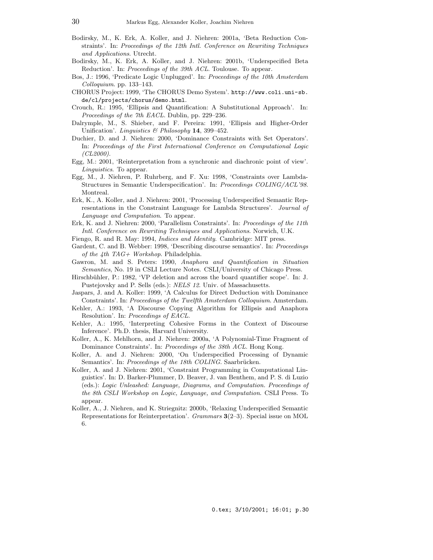- Bodirsky, M., K. Erk, A. Koller, and J. Niehren: 2001a, 'Beta Reduction Constraints'. In: Proceedings of the 12th Intl. Conference on Rewriting Techniques and Applications. Utrecht.
- Bodirsky, M., K. Erk, A. Koller, and J. Niehren: 2001b, 'Underspecified Beta Reduction'. In: *Proceedings of the 39th ACL*. Toulouse. To appear.
- Bos, J.: 1996, 'Predicate Logic Unplugged'. In: Proceedings of the 10th Amsterdam Colloquium. pp. 133–143.
- CHORUS Project: 1999, 'The CHORUS Demo System'. http://www.coli.uni-sb. de/cl/projects/chorus/demo.html.
- Crouch, R.: 1995, 'Ellipsis and Quantification: A Substitutional Approach'. In: Proceedings of the 7th EACL. Dublin, pp. 229–236.
- Dalrymple, M., S. Shieber, and F. Pereira: 1991, 'Ellipsis and Higher-Order Unification'. Linguistics & Philosophy 14, 399-452.
- Duchier, D. and J. Niehren: 2000, 'Dominance Constraints with Set Operators'. In: Proceedings of the First International Conference on Computational Logic (CL2000).
- Egg, M.: 2001, 'Reinterpretation from a synchronic and diachronic point of view'. Linguistics. To appear.
- Egg, M., J. Niehren, P. Ruhrberg, and F. Xu: 1998, 'Constraints over Lambda-Structures in Semantic Underspecification'. In: Proceedings COLING/ACL'98. Montreal.
- Erk, K., A. Koller, and J. Niehren: 2001, 'Processing Underspecified Semantic Representations in the Constraint Language for Lambda Structures'. Journal of Language and Computation. To appear.
- Erk, K. and J. Niehren: 2000, 'Parallelism Constraints'. In: Proceedings of the 11th Intl. Conference on Rewriting Techniques and Applications. Norwich, U.K.
- Fiengo, R. and R. May: 1994, Indices and Identity. Cambridge: MIT press.
- Gardent, C. and B. Webber: 1998, 'Describing discourse semantics'. In: *Proceedings* of the 4th TAG+ Workshop. Philadelphia.
- Gawron, M. and S. Peters: 1990, Anaphora and Quantification in Situation Semantics, No. 19 in CSLI Lecture Notes. CSLI/University of Chicago Press.
- Hirschbühler, P.: 1982, 'VP deletion and across the board quantifier scope'. In: J. Pustejovsky and P. Sells (eds.): NELS 12. Univ. of Massachusetts.
- Jaspars, J. and A. Koller: 1999, 'A Calculus for Direct Deduction with Dominance Constraints'. In: Proceedings of the Twelfth Amsterdam Colloquium. Amsterdam.
- Kehler, A.: 1993, 'A Discourse Copying Algorithm for Ellipsis and Anaphora Resolution'. In: Proceedings of EACL.
- Kehler, A.: 1995, 'Interpreting Cohesive Forms in the Context of Discourse Inference'. Ph.D. thesis, Harvard University.
- Koller, A., K. Mehlhorn, and J. Niehren: 2000a, 'A Polynomial-Time Fragment of Dominance Constraints'. In: Proceedings of the 38th ACL. Hong Kong.
- Koller, A. and J. Niehren: 2000, 'On Underspecified Processing of Dynamic Semantics'. In: Proceedings of the 18th COLING. Saarbrücken.
- Koller, A. and J. Niehren: 2001, 'Constraint Programming in Computational Linguistics'. In: D. Barker-Plummer, D. Beaver, J. van Benthem, and P. S. di Luzio (eds.): Logic Unleashed: Language, Diagrams, and Computation. Proceedings of the 8th CSLI Workshop on Logic, Language, and Computation. CSLI Press. To appear.
- Koller, A., J. Niehren, and K. Striegnitz: 2000b, 'Relaxing Underspecified Semantic Representations for Reinterpretation'. Grammars 3(2–3). Special issue on MOL 6.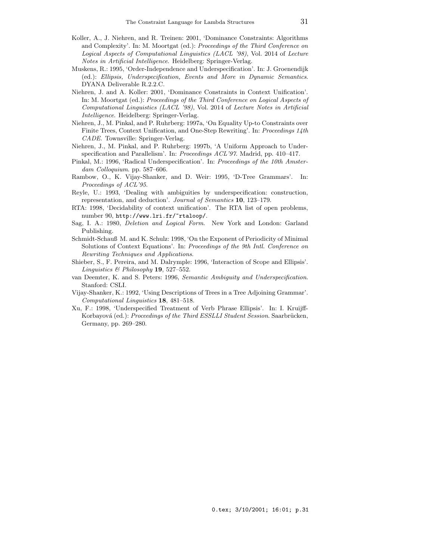- Koller, A., J. Niehren, and R. Treinen: 2001, 'Dominance Constraints: Algorithms and Complexity'. In: M. Moortgat (ed.): Proceedings of the Third Conference on Logical Aspects of Computational Linguistics (LACL '98), Vol. 2014 of Lecture Notes in Artificial Intelligence. Heidelberg: Springer-Verlag.
- Muskens, R.: 1995, 'Order-Independence and Underspecification'. In: J. Groenendijk (ed.): Ellipsis, Underspecification, Events and More in Dynamic Semantics. DYANA Deliverable R.2.2.C.
- Niehren, J. and A. Koller: 2001, 'Dominance Constraints in Context Unification'. In: M. Moortgat (ed.): Proceedings of the Third Conference on Logical Aspects of Computational Linguistics (LACL '98), Vol. 2014 of Lecture Notes in Artificial Intelligence. Heidelberg: Springer-Verlag.
- Niehren, J., M. Pinkal, and P. Ruhrberg: 1997a, 'On Equality Up-to Constraints over Finite Trees, Context Unification, and One-Step Rewriting'. In: Proceedings 14th CADE. Townsville: Springer-Verlag.
- Niehren, J., M. Pinkal, and P. Ruhrberg: 1997b, 'A Uniform Approach to Underspecification and Parallelism'. In: Proceedings ACL'97. Madrid, pp. 410–417.
- Pinkal, M.: 1996, 'Radical Underspecification'. In: Proceedings of the 10th Amsterdam Colloquium. pp. 587–606.
- Rambow, O., K. Vijay-Shanker, and D. Weir: 1995, 'D-Tree Grammars'. In: Proceedings of ACL'95.
- Reyle, U.: 1993, 'Dealing with ambiguities by underspecification: construction, representation, and deduction'. Journal of Semantics 10, 123–179.
- RTA: 1998, 'Decidability of context unification'. The RTA list of open problems, number 90, http://www.lri.fr/~rtaloop/.
- Sag, I. A.: 1980, Deletion and Logical Form. New York and London: Garland Publishing.
- Schmidt-Schauß M. and K. Schulz: 1998, 'On the Exponent of Periodicity of Minimal Solutions of Context Equations'. In: Proceedings of the 9th Intl. Conference on Rewriting Techniques and Applications.
- Shieber, S., F. Pereira, and M. Dalrymple: 1996, 'Interaction of Scope and Ellipsis'. Linguistics & Philosophy 19, 527–552.
- van Deemter, K. and S. Peters: 1996, Semantic Ambiguity and Underspecification. Stanford: CSLI.
- Vijay-Shanker, K.: 1992, 'Using Descriptions of Trees in a Tree Adjoining Grammar'. Computational Linguistics 18, 481–518.
- Xu, F.: 1998, 'Underspecified Treatment of Verb Phrase Ellipsis'. In: I. Kruijff-Korbayová (ed.): Proceedings of the Third ESSLLI Student Session. Saarbrücken, Germany, pp. 269–280.